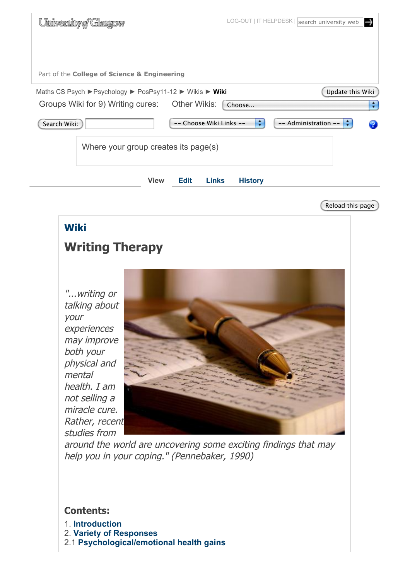| University of Glasgow                                    |                                                       | LOG-OUT   IT HELPDESK   search university web<br>−→ |
|----------------------------------------------------------|-------------------------------------------------------|-----------------------------------------------------|
|                                                          |                                                       |                                                     |
| Part of the College of Science & Engineering             |                                                       |                                                     |
| Maths CS Psych ▶ Psychology ▶ PosPsy11-12 ▶ Wikis ▶ Wiki |                                                       | Update this Wiki                                    |
| Groups Wiki for 9) Writing cures: Other Wikis:           | Choose                                                | ۰                                                   |
| Search Wiki:                                             | ÷<br>-- Choose Wiki Links --                          | -- Administration --                                |
| Where your group creates its page(s)                     |                                                       |                                                     |
|                                                          | <b>Edit</b><br><b>View</b><br>Links<br><b>History</b> |                                                     |

Reload this page

# **Wiki Writing Therapy**

"...writing or talking about your experiences may improve both your physical and mental health. I am not selling a miracle cure. Rather, recent studies from



around the world are uncovering some exciting findings that may help you in your coping." (Pennebaker, 1990)

## **Contents:**

- 1. **Introduction**
- 2. **Variety of Responses**
- 2.1 **Psychological/emotional health gains**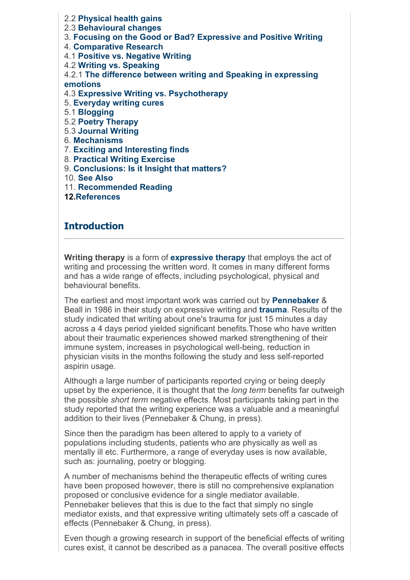2.2 **Physical health gains** 2.3 **Behavioural changes** 3. **Focusing on the Good or Bad? Expressive and Positive Writing** 4. **Comparative Research** 4.1 **Positive vs. Negative Writing** 4.2 **Writing vs. Speaking** 4.2.1 **The difference between writing and Speaking in expressing emotions** 4.3 **Expressive Writing vs. Psychotherapy** 5. **Everyday writing cures** 5.1 **Blogging** 5.2 **Poetry Therapy** 5.3 **Journal Writing** 6. **Mechanisms** 7. **Exciting and Interesting finds** 8. **Practical Writing Exercise** 9. **Conclusions: Is it Insight that matters?**

10. **See Also**

11. **Recommended Reading**

**12.References**

#### **Introduction**

**Writing therapy** is a form of **expressive therapy** that employs the act of writing and processing the written word. It comes in many different forms and has a wide range of effects, including psychological, physical and behavioural benefits.

The earliest and most important work was carried out by **Pennebaker** & Beall in 1986 in their study on expressive writing and **trauma**. Results of the study indicated that writing about one's trauma for just 15 minutes a day across a 4 days period yielded significant benefits.Those who have written about their traumatic experiences showed marked strengthening of their immune system, increases in psychological well-being, reduction in physician visits in the months following the study and less self-reported aspirin usage.

Although a large number of participants reported crying or being deeply upset by the experience, it is thought that the *long term* benefits far outweigh the possible *short term* negative effects. Most participants taking part in the study reported that the writing experience was a valuable and a meaningful addition to their lives (Pennebaker & Chung, in press).

Since then the paradigm has been altered to apply to a variety of populations including students, patients who are physically as well as mentally ill etc. Furthermore, a range of everyday uses is now available, such as: journaling, poetry or blogging.

A number of mechanisms behind the therapeutic effects of writing cures have been proposed however, there is still no comprehensive explanation proposed or conclusive evidence for a single mediator available. Pennebaker believes that this is due to the fact that simply no single mediator exists, and that expressive writing ultimately sets off a cascade of effects (Pennebaker & Chung, in press).

Even though a growing research in support of the beneficial effects of writing cures exist, it cannot be described as a panacea. The overall positive effects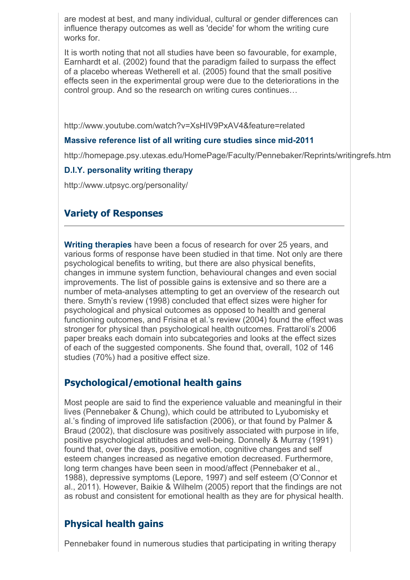are modest at best, and many individual, cultural or gender differences can influence therapy outcomes as well as 'decide' for whom the writing cure works for.

It is worth noting that not all studies have been so favourable, for example, Earnhardt et al. (2002) found that the paradigm failed to surpass the effect of a placebo whereas Wetherell et al. (2005) found that the small positive effects seen in the experimental group were due to the deteriorations in the control group. And so the research on writing cures continues...

http://www.youtube.com/watch?v=XsHIV9PxAV4&feature=related

#### **Massive reference list of all writing cure studies since mid-2011**

http://homepage.psy.utexas.edu/HomePage/Faculty/Pennebaker/Reprints/writingrefs.htm

#### **D.I.Y. personality writing therapy**

http://www.utpsyc.org/personality/

## **Variety of Responses**

**Writing therapies** have been a focus of research for over 25 years, and various forms of response have been studied in that time. Not only are there psychological benefits to writing, but there are also physical benefits, changes in immune system function, behavioural changes and even social improvements. The list of possible gains is extensive and so there are a number of meta-analyses attempting to get an overview of the research out there. Smyth's review (1998) concluded that effect sizes were higher for psychological and physical outcomes as opposed to health and general functioning outcomes, and Frisina et al.'s review (2004) found the effect was stronger for physical than psychological health outcomes. Frattaroli's 2006 paper breaks each domain into subcategories and looks at the effect sizes of each of the suggested components. She found that, overall, 102 of 146 studies (70%) had a positive effect size.

## **Psychological/emotional health gains**

Most people are said to find the experience valuable and meaningful in their lives (Pennebaker & Chung), which could be attributed to Lyubomisky et al.'s finding of improved life satisfaction (2006), or that found by Palmer & Braud (2002), that disclosure was positively associated with purpose in life, positive psychological attitudes and well-being. Donnelly & Murray (1991) found that, over the days, positive emotion, cognitive changes and self esteem changes increased as negative emotion decreased. Furthermore, long term changes have been seen in mood/affect (Pennebaker et al., 1988), depressive symptoms (Lepore, 1997) and self esteem (O'Connor et al., 2011). However, Baikie & Wilhelm (2005) report that the findings are not as robust and consistent for emotional health as they are for physical health.

## **Physical health gains**

Pennebaker found in numerous studies that participating in writing therapy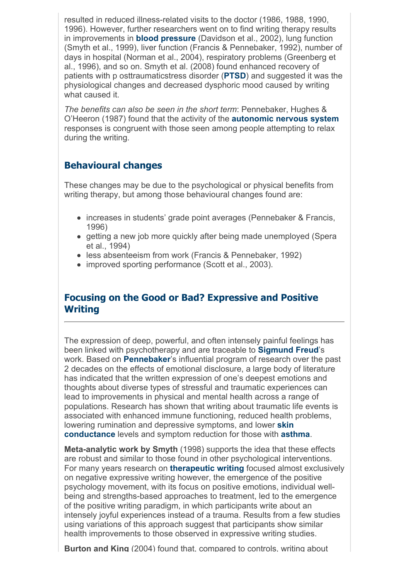resulted in reduced illness-related visits to the doctor (1986, 1988, 1990, 1996). However, further researchers went on to find writing therapy results in improvements in **blood pressure** (Davidson et al., 2002), lung function (Smyth et al., 1999), liver function (Francis & Pennebaker, 1992), number of days in hospital (Norman et al., 2004), respiratory problems (Greenberg et al., 1996), and so on. Smyth et al. (2008) found enhanced recovery of patients with p osttraumaticstress disorder (**PTSD**) and suggested it was the physiological changes and decreased dysphoric mood caused by writing what caused it.

*The benefits can also be seen in the short term*: Pennebaker, Hughes & O'Heeron (1987) found that the activity of the **autonomic nervous system** responses is congruent with those seen among people attempting to relax during the writing.

# **Behavioural changes**

These changes may be due to the psychological or physical benefits from writing therapy, but among those behavioural changes found are:

- increases in students' grade point averages (Pennebaker & Francis, 1996)
- getting a new job more quickly after being made unemployed (Spera et al., 1994)
- less absenteeism from work (Francis & Pennebaker, 1992)
- improved sporting performance (Scott et al., 2003).

## **Focusing on the Good or Bad? Expressive and Positive Writing**

The expression of deep, powerful, and often intensely painful feelings has been linked with psychotherapy and are traceable to **Sigmund Freud**'s work. Based on **Pennebaker**'s influential program of research over the past 2 decades on the effects of emotional disclosure, a large body of literature has indicated that the written expression of one's deepest emotions and thoughts about diverse types of stressful and traumatic experiences can lead to improvements in physical and mental health across a range of populations. Research has shown that writing about traumatic life events is associated with enhanced immune functioning, reduced health problems, lowering rumination and depressive symptoms, and lower **skin conductance** levels and symptom reduction for those with **asthma**.

**Meta-analytic work by Smyth** (1998) supports the idea that these effects are robust and similar to those found in other psychological interventions. For many years research on **therapeutic writing** focused almost exclusively on negative expressive writing however, the emergence of the positive psychology movement, with its focus on positive emotions, individual wellbeing and strengths-based approaches to treatment, led to the emergence of the positive writing paradigm, in which participants write about an intensely joyful experiences instead of a trauma. Results from a few studies using variations of this approach suggest that participants show similar health improvements to those observed in expressive writing studies.

**Burton and King** (2004) found that, compared to controls, writing about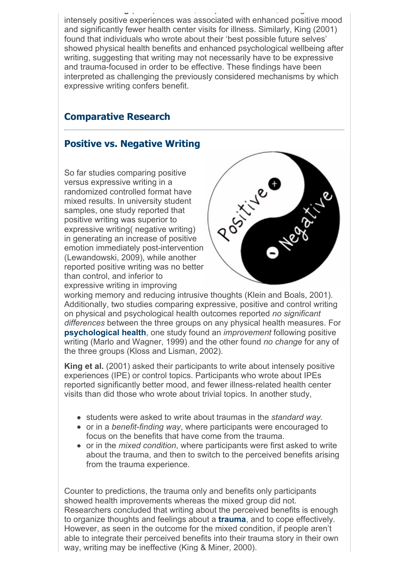**Burton and King** (2004) found that, compared to controls, writing about intensely positive experiences was associated with enhanced positive mood and significantly fewer health center visits for illness. Similarly, King (2001) found that individuals who wrote about their 'best possible future selves' showed physical health benefits and enhanced psychological wellbeing after writing, suggesting that writing may not necessarily have to be expressive and trauma-focused in order to be effective. These findings have been interpreted as challenging the previously considered mechanisms by which expressive writing confers benefit.

# **Comparative Research**

# **Positive vs. Negative Writing**

So far studies comparing positive versus expressive writing in a randomized controlled format have mixed results. In university student samples, one study reported that positive writing was superior to expressive writing( negative writing) in generating an increase of positive emotion immediately post-intervention (Lewandowski, 2009), while another reported positive writing was no better than control, and inferior to expressive writing in improving



working memory and reducing intrusive thoughts (Klein and Boals, 2001). Additionally, two studies comparing expressive, positive and control writing on physical and psychological health outcomes reported *no significant differences* between the three groups on any physical health measures. For **psychological health**, one study found an *improvement* following positive writing (Marlo and Wagner, 1999) and the other found *no change* for any of the three groups (Kloss and Lisman, 2002).

**King et al.** (2001) asked their participants to write about intensely positive experiences (IPE) or control topics. Participants who wrote about IPEs reported significantly better mood, and fewer illness-related health center visits than did those who wrote about trivial topics. In another study,

- students were asked to write about traumas in the *standard way.*
- or in a *benefit-finding way*, where participants were encouraged to focus on the benefits that have come from the trauma.
- or in the *mixed condition*, where participants were first asked to write about the trauma, and then to switch to the perceived benefits arising from the trauma experience.

Counter to predictions, the trauma only and benefits only participants showed health improvements whereas the mixed group did not. Researchers concluded that writing about the perceived benefits is enough to organize thoughts and feelings about a **trauma**, and to cope effectively. However, as seen in the outcome for the mixed condition, if people aren't able to integrate their perceived benefits into their trauma story in their own way, writing may be ineffective (King & Miner, 2000).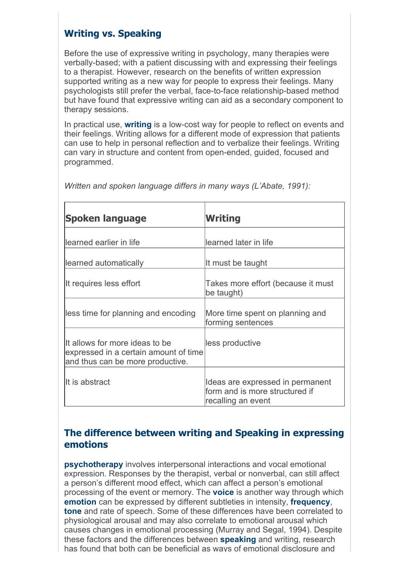# **Writing vs. Speaking**

Before the use of expressive writing in psychology, many therapies were verbally-based; with a patient discussing with and expressing their feelings to a therapist. However, research on the benefits of written expression supported writing as a new way for people to express their feelings. Many psychologists still prefer the verbal, face-to-face relationship-based method but have found that expressive writing can aid as a secondary component to therapy sessions.

In practical use, **writing** is a low-cost way for people to reflect on events and their feelings. Writing allows for a different mode of expression that patients can use to help in personal reflection and to verbalize their feelings. Writing can vary in structure and content from open-ended, guided, focused and programmed.

| Spoken language                                                                                             | <b>Writing</b>                                                                           |
|-------------------------------------------------------------------------------------------------------------|------------------------------------------------------------------------------------------|
| learned earlier in life                                                                                     | learned later in life                                                                    |
| learned automatically                                                                                       | It must be taught                                                                        |
| It requires less effort                                                                                     | Takes more effort (because it must<br>be taught)                                         |
| less time for planning and encoding                                                                         | More time spent on planning and<br>forming sentences                                     |
| It allows for more ideas to be<br>expressed in a certain amount of time<br>and thus can be more productive. | less productive                                                                          |
| IIt is abstract                                                                                             | Ideas are expressed in permanent<br>form and is more structured if<br>recalling an event |

*Written and spoken language differs in many ways (L'Abate, 1991):*

## **The difference between writing and Speaking in expressing emotions**

**psychotherapy** involves interpersonal interactions and vocal emotional expression. Responses by the therapist, verbal or nonverbal, can still affect a person's different mood effect, which can affect a person's emotional processing of the event or memory. The **voice** is another way through which **emotion** can be expressed by different subtleties in intensity, **frequency**, **tone** and rate of speech. Some of these differences have been correlated to physiological arousal and may also correlate to emotional arousal which causes changes in emotional processing (Murray and Segal, 1994). Despite these factors and the differences between **speaking** and writing, research has found that both can be beneficial as ways of emotional disclosure and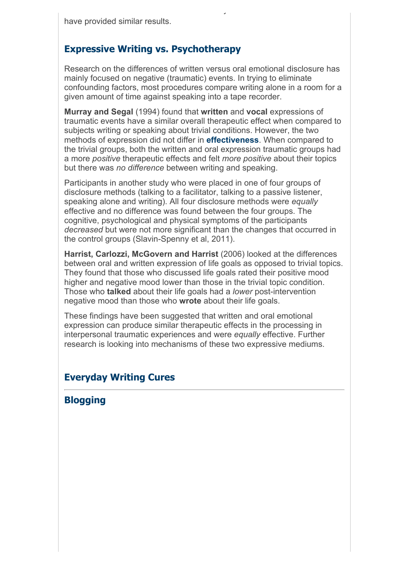## **Expressive Writing vs. Psychotherapy**

Research on the differences of written versus oral emotional disclosure has mainly focused on negative (traumatic) events. In trying to eliminate confounding factors, most procedures compare writing alone in a room for a given amount of time against speaking into a tape recorder.

has found that both can be beneficial as ways of emotional disclosure and

**Murray and Segal** (1994) found that **written** and **vocal** expressions of traumatic events have a similar overall therapeutic effect when compared to subjects writing or speaking about trivial conditions. However, the two methods of expression did not differ in **effectiveness**. When compared to the trivial groups, both the written and oral expression traumatic groups had a more *positive* therapeutic effects and felt *more positive* about their topics but there was *no difference* between writing and speaking.

Participants in another study who were placed in one of four groups of disclosure methods (talking to a facilitator, talking to a passive listener, speaking alone and writing). All four disclosure methods were *equally* effective and no difference was found between the four groups. The cognitive, psychological and physical symptoms of the participants *decreased* but were not more significant than the changes that occurred in the control groups (Slavin-Spenny et al, 2011).

**Harrist, Carlozzi, McGovern and Harrist** (2006) looked at the differences between oral and written expression of life goals as opposed to trivial topics. They found that those who discussed life goals rated their positive mood higher and negative mood lower than those in the trivial topic condition. Those who **talked** about their life goals had a *lower* post-intervention negative mood than those who **wrote** about their life goals.

These findings have been suggested that written and oral emotional expression can produce similar therapeutic effects in the processing in interpersonal traumatic experiences and were *equally* effective. Further research is looking into mechanisms of these two expressive mediums.

## **Everyday Writing Cures**

## **Blogging**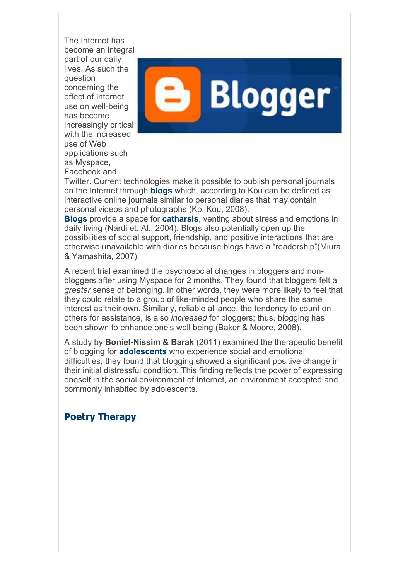The Internet has become an integral part of our daily lives. As such the question concerning the effect of Internet use on well-being has become increasingly critical with the increased use of Web applications such as Myspace, Facebook and



Twitter. Current technologies make it possible to publish personal journals on the Internet through **blogs** which, according to Kou can be defined as interactive online journals similar to personal diaries that may contain personal videos and photographs (Ko, Kou, 2008).

**Blogs** provide a space for **catharsis**, venting about stress and emotions in daily living (Nardi et. Al., 2004). Blogs also potentially open up the possibilities of social support, friendship, and positive interactions that are otherwise unavailable with diaries because blogs have a "readership"(Miura & Yamashita, 2007).

A recent trial examined the psychosocial changes in bloggers and nonbloggers after using Myspace for 2 months. They found that bloggers felt a *greater* sense of belonging. In other words, they were more likely to feel that they could relate to a group of like-minded people who share the same interest as their own. Similarly, reliable alliance, the tendency to count on others for assistance, is also *increased* for bloggers; thus, blogging has been shown to enhance one's well being (Baker & Moore, 2008).

A study by **Boniel-Nissim & Barak** (2011) examined the therapeutic benefit of blogging for **adolescents** who experience social and emotional difficulties; they found that blogging showed a significant positive change in their initial distressful condition. This finding reflects the power of expressing oneself in the social environment of Internet, an environment accepted and commonly inhabited by adolescents.

## **Poetry Therapy**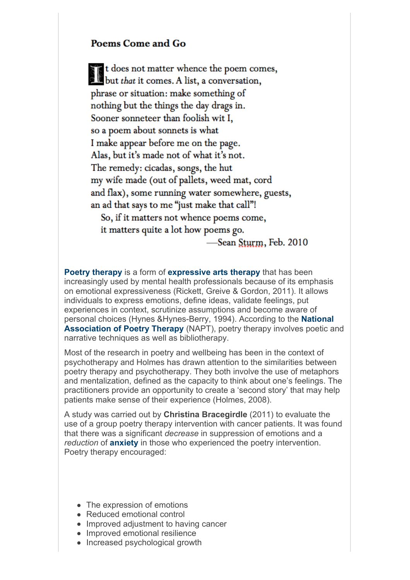#### Poems Come and Go

t does not matter whence the poem comes, t does not matter whence the poem con<br>but that it comes. A list, a conversation,<br>phrase or situation: make something of phrase or situation: make something of nothing but the things the day drags in. Sooner sonneteer than foolish wit I. so a poem about sonnets is what I make appear before me on the page. Alas, but it's made not of what it's not. The remedy: cicadas, songs, the hut my wife made (out of pallets, weed mat, cord and flax), some running water somewhere, guests, an ad that says to me "just make that call"! So, if it matters not whence poems come, it matters quite a lot how poems go. Sean Sturm, Feb. 2010

**Poetry therapy** is a form of **expressive arts therapy** that has been increasingly used by mental health professionals because of its emphasis on emotional expressiveness (Rickett, Greive & Gordon, 2011). It allows individuals to express emotions, define ideas, validate feelings, put experiences in context, scrutinize assumptions and become aware of personal choices (Hynes &Hynes-Berry, 1994). According to the **National Association of Poetry Therapy** (NAPT), poetry therapy involves poetic and narrative techniques as well as bibliotherapy.

Most of the research in poetry and wellbeing has been in the context of psychotherapy and Holmes has drawn attention to the similarities between poetry therapy and psychotherapy. They both involve the use of metaphors and mentalization, defined as the capacity to think about one's feelings. The practitioners provide an opportunity to create a 'second story' that may help patients make sense of their experience (Holmes, 2008).

A study was carried out by **Christina Bracegirdle** (2011) to evaluate the use of a group poetry therapy intervention with cancer patients. It was found that there was a significant *decrease* in suppression of emotions and a *reduction* of **anxiety** in those who experienced the poetry intervention. Poetry therapy encouraged:

- The expression of emotions
- Reduced emotional control
- Improved adjustment to having cancer
- Improved emotional resilience
- Increased psychological growth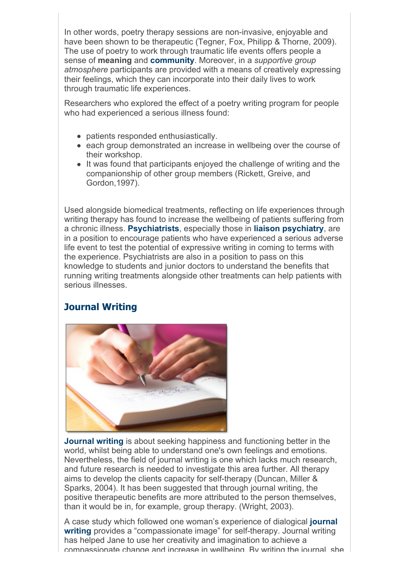In other words, poetry therapy sessions are non-invasive, enjoyable and have been shown to be therapeutic (Tegner, Fox, Philipp & Thorne, 2009). The use of poetry to work through traumatic life events offers people a sense of **meaning** and **community**. Moreover, in a *supportive group atmosphere* participants are provided with a means of creatively expressing their feelings, which they can incorporate into their daily lives to work through traumatic life experiences.

Researchers who explored the effect of a poetry writing program for people who had experienced a serious illness found:

- patients responded enthusiastically.
- each group demonstrated an increase in wellbeing over the course of their workshop.
- It was found that participants enjoyed the challenge of writing and the companionship of other group members (Rickett, Greive, and Gordon,1997).

Used alongside biomedical treatments, reflecting on life experiences through writing therapy has found to increase the wellbeing of patients suffering from a chronic illness. **Psychiatrists**, especially those in **liaison psychiatry**, are in a position to encourage patients who have experienced a serious adverse life event to test the potential of expressive writing in coming to terms with the experience. Psychiatrists are also in a position to pass on this knowledge to students and junior doctors to understand the benefits that running writing treatments alongside other treatments can help patients with serious illnesses.

## **Journal Writing**



**Journal writing** is about seeking happiness and functioning better in the world, whilst being able to understand one's own feelings and emotions. Nevertheless, the field of journal writing is one which lacks much research, and future research is needed to investigate this area further. All therapy aims to develop the clients capacity for self-therapy (Duncan, Miller & Sparks, 2004). It has been suggested that through journal writing, the positive therapeutic benefits are more attributed to the person themselves, than it would be in, for example, group therapy. (Wright, 2003).

A case study which followed one woman's experience of dialogical **journal writing** provides a "compassionate image" for self-therapy. Journal writing has helped Jane to use her creativity and imagination to achieve a compassionate change and increase in wellbeing. By writing the journal, she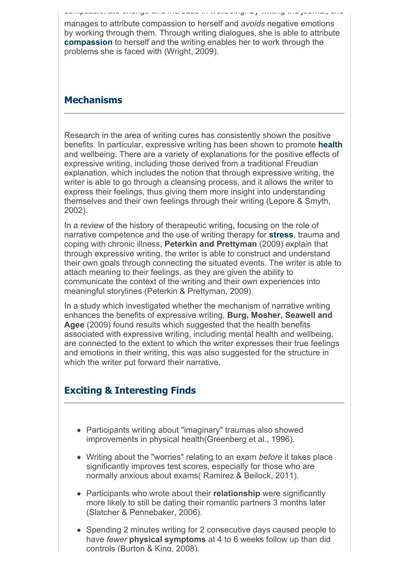manages to attribute compassion to herself and *avoids* negative emotions by working through them. Through writing dialogues, she is able to attribute **compassion** to herself and the writing enables her to work through the problems she is faced with (Wright, 2009).

compassionate change and increase in wellbeing. By writing the journal, she

## **Mechanisms**

Research in the area of writing cures has consistently shown the positive benefits. In particular, expressive writing has been shown to promote **health** and wellbeing. There are a variety of explanations for the positive effects of expressive writing, including those derived from a traditional Freudian explanation, which includes the notion that through expressive writing, the writer is able to go through a cleansing process, and it allows the writer to express their feelings, thus giving them more insight into understanding themselves and their own feelings through their writing (Lepore & Smyth, 2002).

In a review of the history of therapeutic writing, focusing on the role of narrative competence and the use of writing therapy for **stress**, trauma and coping with chronic illness, **Peterkin and Prettyman** (2009) explain that through expressive writing, the writer is able to construct and understand their own goals through connecting the situated events. The writer is able to attach meaning to their feelings, as they are given the ability to communicate the context of the writing and their own experiences into meaningful storylines (Peterkin & Prettyman, 2009).

In a study which investigated whether the mechanism of narrative writing enhances the benefits of expressive writing, **Burg, Mosher, Seawell and Agee** (2009) found results which suggested that the health benefits associated with expressive writing, including mental health and wellbeing, are connected to the extent to which the writer expresses their true feelings and emotions in their writing, this was also suggested for the structure in which the writer put forward their narrative.

## **Exciting & Interesting Finds**

- Participants writing about "imaginary" traumas also showed improvements in physical health(Greenberg et al., 1996).
- Writing about the "worries" relating to an exam *before* it takes place significantly improves test scores, especially for those who are normally anxious about exams( Ramirez & Beilock, 2011).
- Participants who wrote about their **relationship** were significantly more likely to still be dating their romantic partners 3 months later (Slatcher & Pennebaker, 2006).
- Spending 2 minutes writing for 2 consecutive days caused people to have *fewer* **physical symptoms** at 4 to 6 weeks follow up than did controls (Burton & King, 2008).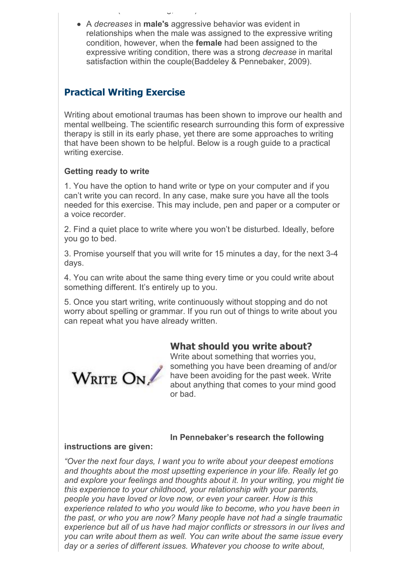A *decreases* in **male's** aggressive behavior was evident in relationships when the male was assigned to the expressive writing condition, however, when the **female** had been assigned to the expressive writing condition, there was a strong *decrease* in marital satisfaction within the couple(Baddeley & Pennebaker, 2009).

## **Practical Writing Exercise**

controls (Burton & King, 2008).

Writing about emotional traumas has been shown to improve our health and mental wellbeing. The scientific research surrounding this form of expressive therapy is still in its early phase, yet there are some approaches to writing that have been shown to be helpful. Below is a rough guide to a practical writing exercise.

#### **Getting ready to write**

1. You have the option to hand write or type on your computer and if you can't write you can record. In any case, make sure you have all the tools needed for this exercise. This may include, pen and paper or a computer or a voice recorder.

2. Find a quiet place to write where you won't be disturbed. Ideally, before you go to bed.

3. Promise yourself that you will write for 15 minutes a day, for the next 3-4 days.

4. You can write about the same thing every time or you could write about something different. It's entirely up to you.

5. Once you start writing, write continuously without stopping and do not worry about spelling or grammar. If you run out of things to write about you can repeat what you have already written.

## **What should you write about?**



Write about something that worries you, something you have been dreaming of and/or have been avoiding for the past week. Write about anything that comes to your mind good or bad.

#### **In Pennebaker's research the following**

#### **instructions are given:**

*"Over the next four days, I want you to write about your deepest emotions and thoughts about the most upsetting experience in your life. Really let go and explore your feelings and thoughts about it. In your writing, you might tie this experience to your childhood, your relationship with your parents, people you have loved or love now, or even your career. How is this experience related to who you would like to become, who you have been in the past, or who you are now? Many people have not had a single traumatic experience but all of us have had major conflicts or stressors in our lives and you can write about them as well. You can write about the same issue every day or a series of different issues. Whatever you choose to write about,*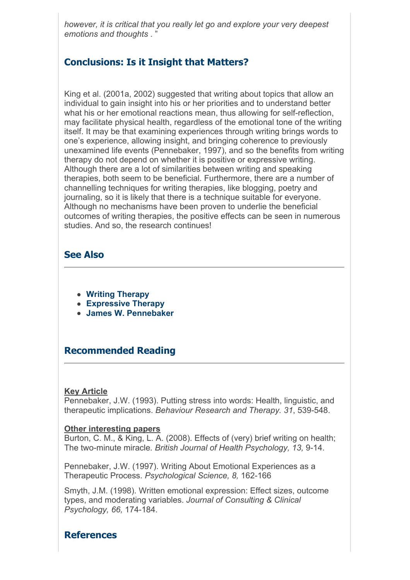*however, it is critical that you really let go and explore your very deepest emotions and thoughts* . "

## **Conclusions: Is it Insight that Matters?**

King et al. (2001a, 2002) suggested that writing about topics that allow an individual to gain insight into his or her priorities and to understand better what his or her emotional reactions mean, thus allowing for self-reflection, may facilitate physical health, regardless of the emotional tone of the writing itself. It may be that examining experiences through writing brings words to one's experience, allowing insight, and bringing coherence to previously unexamined life events (Pennebaker, 1997), and so the benefits from writing therapy do not depend on whether it is positive or expressive writing. Although there are a lot of similarities between writing and speaking therapies, both seem to be beneficial. Furthermore, there are a number of channelling techniques for writing therapies, like blogging, poetry and journaling, so it is likely that there is a technique suitable for everyone. Although no mechanisms have been proven to underlie the beneficial outcomes of writing therapies, the positive effects can be seen in numerous studies. And so, the research continues!

## **See Also**

- **Writing Therapy**
- **Expressive Therapy**
- **James W. Pennebaker**

## **Recommended Reading**

#### **Key Article**

Pennebaker, J.W. (1993). Putting stress into words: Health, linguistic, and therapeutic implications. *Behaviour Research and Therapy. 31*, 539-548.

#### **Other interesting papers**

Burton, C. M., & King, L. A. (2008). Effects of (very) brief writing on health; The two-minute miracle*. British Journal of Health Psychology, 13,* 9-14.

Pennebaker, J.W. (1997). Writing About Emotional Experiences as a Therapeutic Process. *Psychological Science, 8,* 162-166

Smyth, J.M. (1998). Written emotional expression: Effect sizes, outcome types, and moderating variables. *Journal of Consulting & Clinical Psychology, 66,* 174-184.

## **References**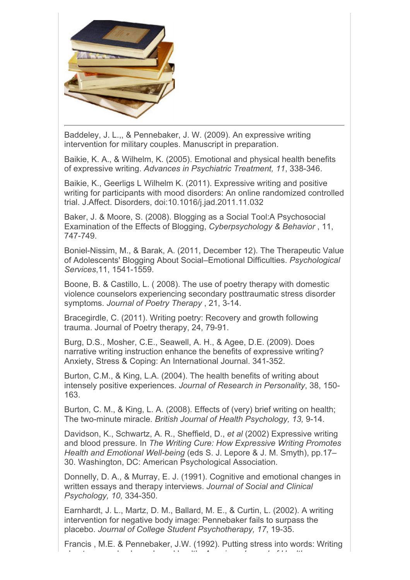

Baddeley, J. L.,, & Pennebaker, J. W. (2009). An expressive writing intervention for military couples. Manuscript in preparation.

Baikie, K. A., & Wilhelm, K. (2005). Emotional and physical health benefits of expressive writing. *Advances in Psychiatric Treatment, 11*, 338-346.

Baikie, K., Geerligs L Wilhelm K. (2011). Expressive writing and positive writing for participants with mood disorders: An online randomized controlled trial. J.Affect. Disorders, doi:10.1016/j.jad.2011.11.032

Baker, J. & Moore, S. (2008). Blogging as a Social Tool:A Psychosocial Examination of the Effects of Blogging, *Cyberpsychology & Behavior* , 11, 747-749.

Boniel-Nissim, M., & Barak, A. (2011, December 12). The Therapeutic Value of Adolescents' Blogging About Social–Emotional Difficulties. *Psychological Services*,11, 1541-1559.

Boone, B. & Castillo, L. ( 2008). The use of poetry therapy with domestic violence counselors experiencing secondary posttraumatic stress disorder symptoms. *Journal of Poetry Therapy* , 21, 3-14.

Bracegirdle, C. (2011). Writing poetry: Recovery and growth following trauma. Journal of Poetry therapy, 24, 79-91.

Burg, D.S., Mosher, C.E., Seawell, A. H., & Agee, D.E. (2009). Does narrative writing instruction enhance the benefits of expressive writing? Anxiety, Stress & Coping: An International Journal. 341-352.

Burton, C.M., & King, L.A. (2004). The health benefits of writing about intensely positive experiences. *Journal of Research in Personality*, 38, 150- 163.

Burton, C. M., & King, L. A. (2008). Effects of (very) brief writing on health; The two-minute miracle*. British Journal of Health Psychology, 13,* 9-14.

Davidson, K., Schwartz, A. R., Sheffield, D., *et al* (2002) Expressive writing and blood pressure. In *The Writing Cure: How Expressive Writing Promotes Health and Emotional Well-being* (eds S. J. Lepore & J. M. Smyth), pp.17– 30. Washington, DC: American Psychological Association.

Donnelly, D. A., & Murray, E. J. (1991). Cognitive and emotional changes in written essays and therapy interviews. *Journal of Social and Clinical Psychology, 10,* 334-350.

Earnhardt, J. L., Martz, D. M., Ballard, M. E., & Curtin, L. (2002). A writing intervention for negative body image: Pennebaker fails to surpass the placebo. *Journal of College Student Psychotherapy, 17*, 19-35.

Francis , M.E. & Pennebaker, J.W. (1992). Putting stress into words: Writing about personal upheavals and health. *American Journal of Health*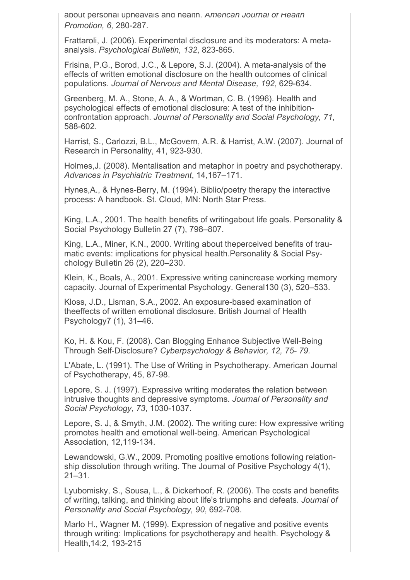about personal upheavals and health. *American Journal of Health Promotion, 6,* 280-287.

Frattaroli, J. (2006). Experimental disclosure and its moderators: A metaanalysis. *Psychological Bulletin, 132*, 823-865.

Frisina, P.G., Borod, J.C., & Lepore, S.J. (2004). A meta-analysis of the effects of written emotional disclosure on the health outcomes of clinical populations. *Journal of Nervous and Mental Disease, 192*, 629-634.

Greenberg, M. A., Stone, A. A., & Wortman, C. B. (1996). Health and psychological effects of emotional disclosure: A test of the inhibitionconfrontation approach. *Journal of Personality and Social Psychology, 71*, 588-602.

Harrist, S., Carlozzi, B.L., McGovern, A.R. & Harrist, A.W. (2007). Journal of Research in Personality, 41, 923-930.

Holmes,J. (2008). Mentalisation and metaphor in poetry and psychotherapy. *Advances in Psychiatric Treatment*, 14,167–171.

Hynes,A., & Hynes-Berry, M. (1994). Biblio/poetry therapy the interactive process: A handbook. St. Cloud, MN: North Star Press.

King, L.A., 2001. The health benefits of writingabout life goals. Personality & Social Psychology Bulletin 27 (7), 798–807.

King, L.A., Miner, K.N., 2000. Writing about theperceived benefits of traumatic events: implications for physical health.Personality & Social Psychology Bulletin 26 (2), 220–230.

Klein, K., Boals, A., 2001. Expressive writing canincrease working memory capacity. Journal of Experimental Psychology. General130 (3), 520–533.

Kloss, J.D., Lisman, S.A., 2002. An exposure-based examination of theeffects of written emotional disclosure. British Journal of Health Psychology7 (1), 31–46.

Ko, H. & Kou, F. (2008). Can Blogging Enhance Subjective Well-Being Through Self-Disclosure? *Cyberpsychology & Behavior, 12, 75- 79.*

L'Abate, L. (1991). The Use of Writing in Psychotherapy. American Journal of Psychotherapy, 45, 87-98.

Lepore, S. J. (1997). Expressive writing moderates the relation between intrusive thoughts and depressive symptoms. *Journal of Personality and Social Psychology, 73*, 1030-1037.

Lepore, S. J, & Smyth, J.M. (2002). The writing cure: How expressive writing promotes health and emotional well-being. American Psychological Association, 12,119-134.

Lewandowski, G.W., 2009. Promoting positive emotions following relationship dissolution through writing. The Journal of Positive Psychology 4(1), 21–31.

Lyubomisky, S., Sousa, L., & Dickerhoof, R. (2006). The costs and benefits of writing, talking, and thinking about life's triumphs and defeats. *Journal of Personality and Social Psychology, 90*, 692-708.

Marlo H., Wagner M. (1999). Expression of negative and positive events through writing: Implications for psychotherapy and health. Psychology & Health,14:2, 193-215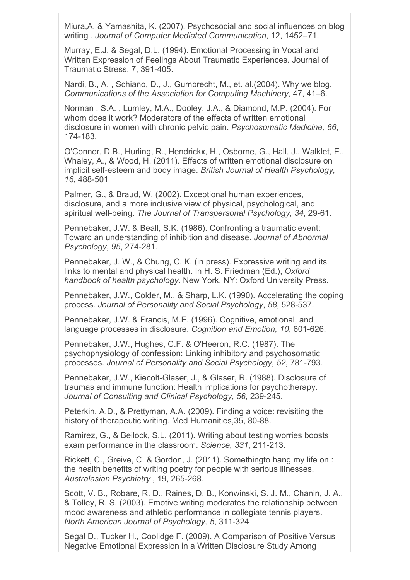Miura,A. & Yamashita, K. (2007). Psychosocial and social influences on blog writing *. Journal of Computer Mediated Communication*, 12, 1452–71.

Murray, E.J. & Segal, D.L. (1994). Emotional Processing in Vocal and Written Expression of Feelings About Traumatic Experiences. Journal of Traumatic Stress, 7, 391-405.

Nardi, B., A. , Schiano, D., J., Gumbrecht, M., et. al.(2004). Why we blog. *Communications of the Association for Computing Machinery*, 47, 41–6.

Norman , S.A. , Lumley, M.A., Dooley, J.A., & Diamond, M.P. (2004). For whom does it work? Moderators of the effects of written emotional disclosure in women with chronic pelvic pain. *Psychosomatic Medicine, 66*, 174-183.

O'Connor, D.B., Hurling, R., Hendrickx, H., Osborne, G., Hall, J., Walklet, E., Whaley, A., & Wood, H. (2011). Effects of written emotional disclosure on implicit self-esteem and body image. *British Journal of Health Psychology, 16*, 488-501

Palmer, G., & Braud, W. (2002). Exceptional human experiences, disclosure, and a more inclusive view of physical, psychological, and spiritual well-being. *The Journal of Transpersonal Psychology, 34*, 29-61.

Pennebaker, J.W. & Beall, S.K. (1986). Confronting a traumatic event: Toward an understanding of inhibition and disease. *Journal of Abnormal Psychology*, *95*, 274-281.

Pennebaker, J. W., & Chung, C. K. (in press). Expressive writing and its links to mental and physical health. In H. S. Friedman (Ed.), *Oxford handbook of health psychology*. New York, NY: Oxford University Press.

Pennebaker, J.W., Colder, M., & Sharp, L.K. (1990). Accelerating the coping process. *Journal of Personality and Social Psychology*, *58*, 528-537.

Pennebaker, J.W. & Francis, M.E. (1996). Cognitive, emotional, and language processes in disclosure. *Cognition and Emotion, 10*, 601-626.

Pennebaker, J.W., Hughes, C.F. & O'Heeron, R.C. (1987). The psychophysiology of confession: Linking inhibitory and psychosomatic processes. *Journal of Personality and Social Psychology*, *52*, 781-793.

Pennebaker, J.W., Kiecolt-Glaser, J., & Glaser, R. (1988). Disclosure of traumas and immune function: Health implications for psychotherapy. *Journal of Consulting and Clinical Psychology*, *56*, 239-245.

Peterkin, A.D., & Prettyman, A.A. (2009). Finding a voice: revisiting the history of therapeutic writing. Med Humanities,35, 80-88.

Ramirez, G., & Beilock, S.L. (2011). Writing about testing worries boosts exam performance in the classroom. *Science, 331*, 211-213.

Rickett, C., Greive, C. & Gordon, J. (2011). Somethingto hang my life on : the health benefits of writing poetry for people with serious illnesses. *Australasian Psychiatry* , 19, 265-268.

Scott, V. B., Robare, R. D., Raines, D. B., Konwinski, S. J. M., Chanin, J. A., & Tolley, R. S. (2003). Emotive writing moderates the relationship between mood awareness and athletic performance in collegiate tennis players. *North American Journal of Psychology, 5*, 311-324

Segal D., Tucker H., Coolidge F. (2009). A Comparison of Positive Versus Negative Emotional Expression in a Written Disclosure Study Among